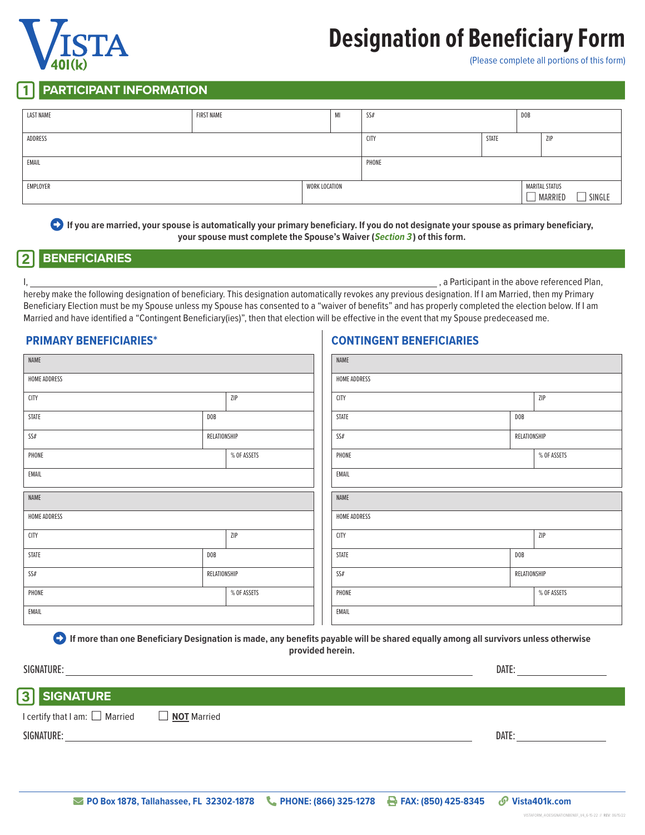# **Designation of Beneficiary Form**

(Please complete all portions of this form)

### **PARTICIPANT INFORMATION**

| <b>LAST NAME</b>          | FIRST NAME |  | MI          | SS#   |                                            | DOB        |  |
|---------------------------|------------|--|-------------|-------|--------------------------------------------|------------|--|
| ADDRESS                   |            |  | <b>CITY</b> | STATE |                                            | <b>ZIP</b> |  |
| EMAIL                     |            |  |             | PHONE |                                            |            |  |
| EMPLOYER<br>WORK LOCATION |            |  |             |       | <b>MARITAL STATUS</b><br>MARRIED<br>SINGLE |            |  |

 **If you are married, your spouse is automatically your primary beneficiary. If you do not designate your spouse as primary beneficiary, your spouse must complete the Spouse's Waiver (Section 3 ) of this form.**

## 2 **BENEFICIARIES**

I, 1, 2008 and the above referenced Plan, the above referenced Plan,

hereby make the following designation of beneficiary. This designation automatically revokes any previous designation. If I am Married, then my Primary Beneficiary Election must be my Spouse unless my Spouse has consented to a "waiver of benefits" and has properly completed the election below. If I am Married and have identified a "Contingent Beneficiary(ies)", then that election will be effective in the event that my Spouse predeceased me.

**CONTINGENT BENEFICIARIES**

### **PRIMARY BENEFICIARIES\***

| NAME         |                |             | NAME         |              |                |
|--------------|----------------|-------------|--------------|--------------|----------------|
| HOME ADDRESS |                |             | HOME ADDRESS |              |                |
| <b>CITY</b>  |                | ZIP         | <b>CITY</b>  |              | $\mathsf{ZIP}$ |
| STATE        | DOB            |             | STATE        | <b>DOB</b>   |                |
| $SS#$        | RELATIONSHIP   |             | $SS\#$       | RELATIONSHIP |                |
| PHONE        |                | % OF ASSETS | PHONE        |              | % OF ASSETS    |
| EMAIL        |                |             | EMAIL        |              |                |
| NAME         |                |             | NAME         |              |                |
| HOME ADDRESS |                |             | HOME ADDRESS |              |                |
| <b>CITY</b>  |                | ZIP         | <b>CITY</b>  |              | ZIP            |
| STATE        | $\texttt{DOB}$ |             | STATE        | <b>DOB</b>   |                |
| SS#          | RELATIONSHIP   |             | $SS\#$       | RELATIONSHIP |                |
| PHONE        |                | % OF ASSETS | PHONE        |              | % OF ASSETS    |
| EMAIL        |                |             | EMAIL        |              |                |

 **If more than one Beneficiary Designation is made, any benefits payable will be shared equally among all survivors unless otherwise provided herein.**

| SIGNATURE:                                           | DATE: |
|------------------------------------------------------|-------|
| <b>3</b> SIGNATURE                                   |       |
| I certify that I am: □ Married<br><b>NOT</b> Married |       |
| SIGNATURE:                                           | DATE: |
|                                                      |       |

VistaForm\_4-DesignationBenef\_V4\_6-15-22 // REV: 06/15/22